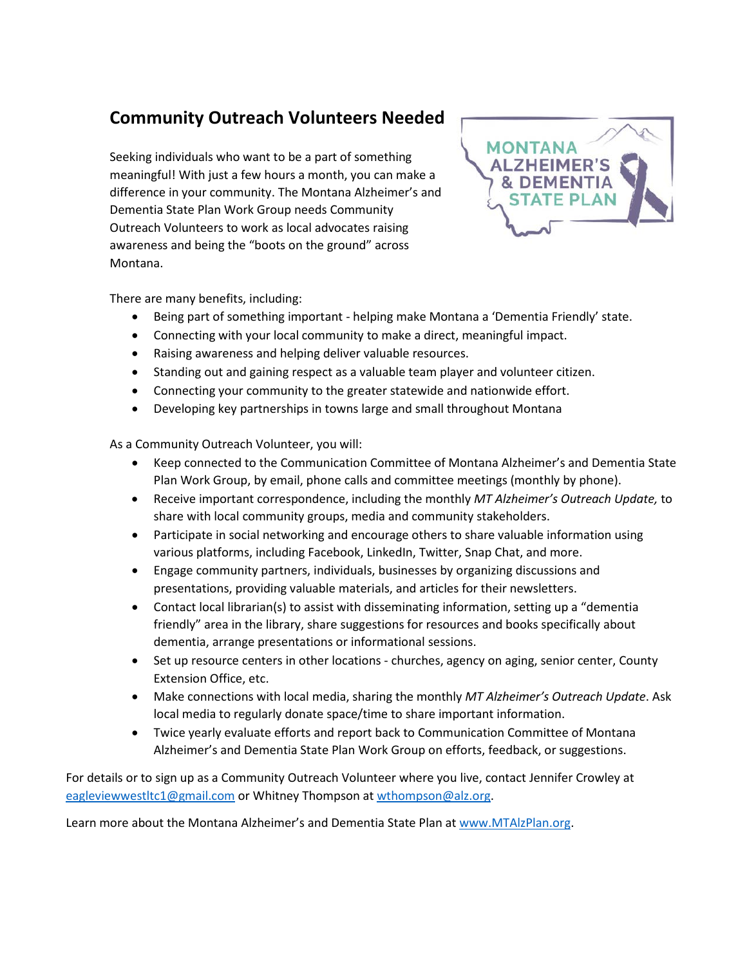## **Community Outreach Volunteers Needed**

Seeking individuals who want to be a part of something meaningful! With just a few hours a month, you can make a difference in your community. The Montana Alzheimer's and Dementia State Plan Work Group needs Community Outreach Volunteers to work as local advocates raising awareness and being the "boots on the ground" across Montana.



There are many benefits, including:

- Being part of something important helping make Montana a 'Dementia Friendly' state.
- Connecting with your local community to make a direct, meaningful impact.
- Raising awareness and helping deliver valuable resources.
- Standing out and gaining respect as a valuable team player and volunteer citizen.
- Connecting your community to the greater statewide and nationwide effort.
- Developing key partnerships in towns large and small throughout Montana

As a Community Outreach Volunteer, you will:

- Keep connected to the Communication Committee of Montana Alzheimer's and Dementia State Plan Work Group, by email, phone calls and committee meetings (monthly by phone).
- Receive important correspondence, including the monthly *MT Alzheimer's Outreach Update,* to share with local community groups, media and community stakeholders.
- Participate in social networking and encourage others to share valuable information using various platforms, including Facebook, LinkedIn, Twitter, Snap Chat, and more.
- Engage community partners, individuals, businesses by organizing discussions and presentations, providing valuable materials, and articles for their newsletters.
- Contact local librarian(s) to assist with disseminating information, setting up a "dementia friendly" area in the library, share suggestions for resources and books specifically about dementia, arrange presentations or informational sessions.
- Set up resource centers in other locations churches, agency on aging, senior center, County Extension Office, etc.
- Make connections with local media, sharing the monthly *MT Alzheimer's Outreach Update*. Ask local media to regularly donate space/time to share important information.
- Twice yearly evaluate efforts and report back to Communication Committee of Montana Alzheimer's and Dementia State Plan Work Group on efforts, feedback, or suggestions.

For details or to sign up as a Community Outreach Volunteer where you live, contact Jennifer Crowley at [eagleviewwestltc1@gmail.com](mailto:eagleviewwestltc1@gmail.com) or Whitney Thompson at [wthompson@alz.org.](mailto:wthompson@alz.org)

Learn more about the Montana Alzheimer's and Dementia State Plan at www.MTAlzPlan.org.